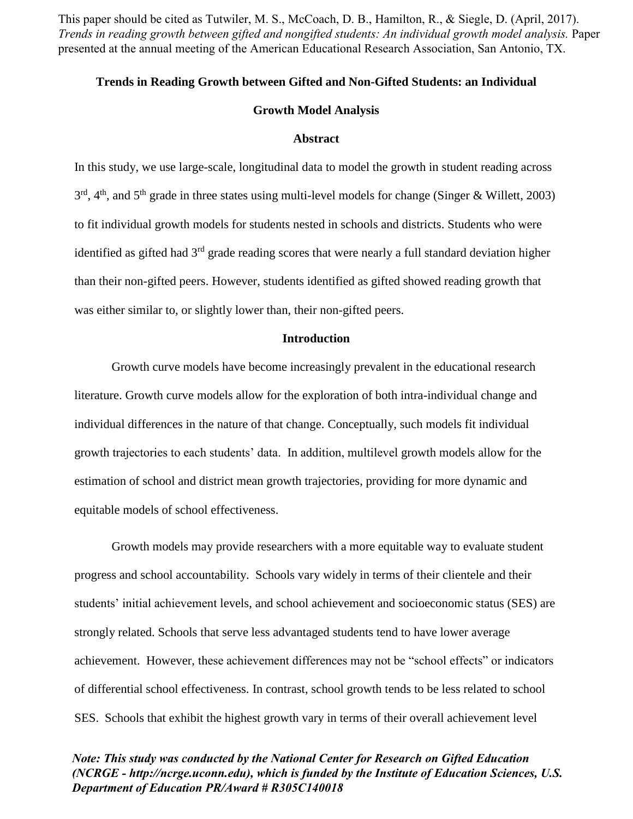This paper should be cited as Tutwiler, M. S., McCoach, D. B., Hamilton, R., & Siegle, D. (April, 2017). *Trends in reading growth between gifted and nongifted students: An individual growth model analysis.* Paper presented at the annual meeting of the American Educational Research Association, San Antonio, TX.

### **Trends in Reading Growth between Gifted and Non-Gifted Students: an Individual**

### **Growth Model Analysis**

#### **Abstract**

In this study, we use large-scale, longitudinal data to model the growth in student reading across  $3<sup>rd</sup>$ , 4<sup>th</sup>, and 5<sup>th</sup> grade in three states using multi-level models for change (Singer & Willett, 2003) to fit individual growth models for students nested in schools and districts. Students who were identified as gifted had  $3<sup>rd</sup>$  grade reading scores that were nearly a full standard deviation higher than their non-gifted peers. However, students identified as gifted showed reading growth that was either similar to, or slightly lower than, their non-gifted peers.

### **Introduction**

Growth curve models have become increasingly prevalent in the educational research literature. Growth curve models allow for the exploration of both intra-individual change and individual differences in the nature of that change. Conceptually, such models fit individual growth trajectories to each students' data. In addition, multilevel growth models allow for the estimation of school and district mean growth trajectories, providing for more dynamic and equitable models of school effectiveness.

Growth models may provide researchers with a more equitable way to evaluate student progress and school accountability. Schools vary widely in terms of their clientele and their students' initial achievement levels, and school achievement and socioeconomic status (SES) are strongly related. Schools that serve less advantaged students tend to have lower average achievement. However, these achievement differences may not be "school effects" or indicators of differential school effectiveness. In contrast, school growth tends to be less related to school SES. Schools that exhibit the highest growth vary in terms of their overall achievement level

# *Note: This study was conducted by the National Center for Research on Gifted Education (NCRGE - http://ncrge.uconn.edu), which is funded by the Institute of Education Sciences, U.S. Department of Education PR/Award # R305C140018*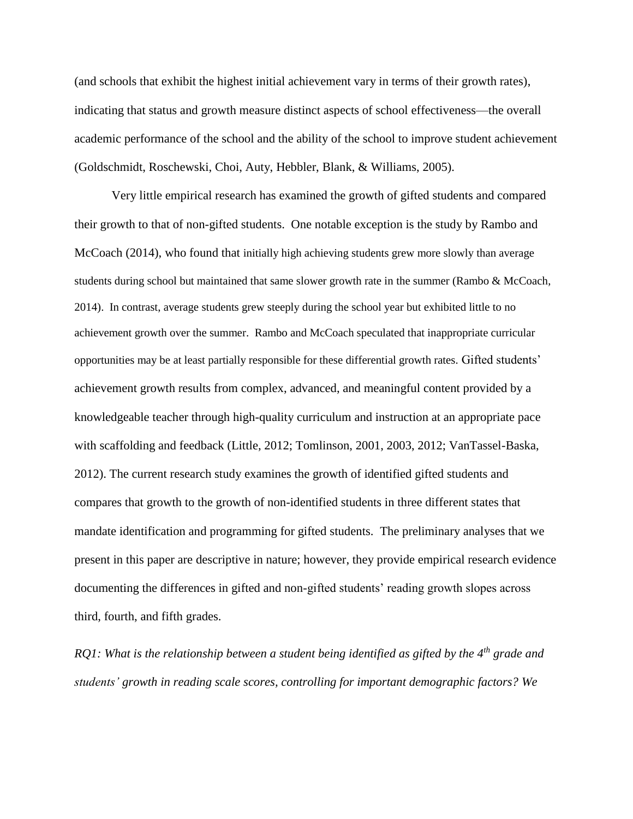(and schools that exhibit the highest initial achievement vary in terms of their growth rates), indicating that status and growth measure distinct aspects of school effectiveness—the overall academic performance of the school and the ability of the school to improve student achievement (Goldschmidt, Roschewski, Choi, Auty, Hebbler, Blank, & Williams, 2005).

Very little empirical research has examined the growth of gifted students and compared their growth to that of non-gifted students. One notable exception is the study by Rambo and McCoach (2014), who found that initially high achieving students grew more slowly than average students during school but maintained that same slower growth rate in the summer (Rambo & McCoach, 2014). In contrast, average students grew steeply during the school year but exhibited little to no achievement growth over the summer. Rambo and McCoach speculated that inappropriate curricular opportunities may be at least partially responsible for these differential growth rates. Gifted students' achievement growth results from complex, advanced, and meaningful content provided by a knowledgeable teacher through high-quality curriculum and instruction at an appropriate pace with scaffolding and feedback (Little, 2012; Tomlinson, 2001, 2003, 2012; VanTassel-Baska, 2012). The current research study examines the growth of identified gifted students and compares that growth to the growth of non-identified students in three different states that mandate identification and programming for gifted students. The preliminary analyses that we present in this paper are descriptive in nature; however, they provide empirical research evidence documenting the differences in gifted and non-gifted students' reading growth slopes across third, fourth, and fifth grades.

*RQ1: What is the relationship between a student being identified as gifted by the 4th grade and students' growth in reading scale scores, controlling for important demographic factors? We*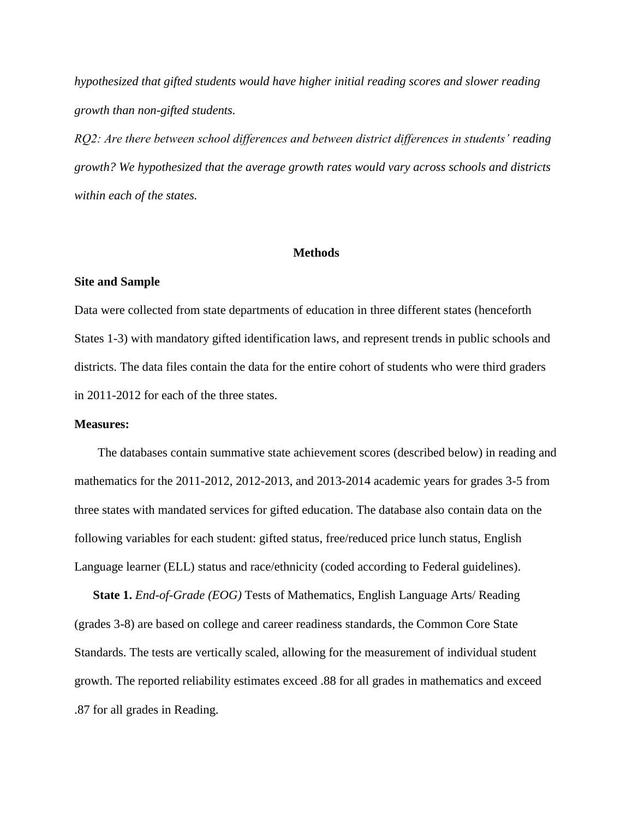*hypothesized that gifted students would have higher initial reading scores and slower reading growth than non-gifted students.* 

*RQ2: Are there between school differences and between district differences in students' reading growth? We hypothesized that the average growth rates would vary across schools and districts within each of the states.* 

### **Methods**

#### **Site and Sample**

Data were collected from state departments of education in three different states (henceforth States 1-3) with mandatory gifted identification laws, and represent trends in public schools and districts. The data files contain the data for the entire cohort of students who were third graders in 2011-2012 for each of the three states.

### **Measures:**

The databases contain summative state achievement scores (described below) in reading and mathematics for the 2011-2012, 2012-2013, and 2013-2014 academic years for grades 3-5 from three states with mandated services for gifted education. The database also contain data on the following variables for each student: gifted status, free/reduced price lunch status, English Language learner (ELL) status and race/ethnicity (coded according to Federal guidelines).

**State 1.** *End-of-Grade (EOG)* Tests of Mathematics, English Language Arts/ Reading (grades 3-8) are based on college and career readiness standards, the Common Core State Standards. The tests are vertically scaled, allowing for the measurement of individual student growth. The reported reliability estimates exceed .88 for all grades in mathematics and exceed .87 for all grades in Reading.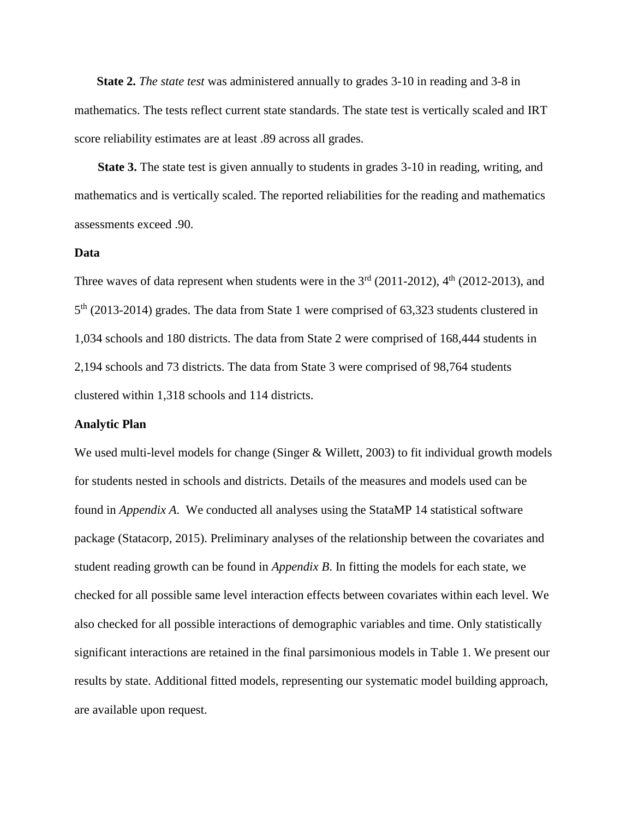**State 2.** *The state test* was administered annually to grades 3-10 in reading and 3-8 in mathematics. The tests reflect current state standards. The state test is vertically scaled and IRT score reliability estimates are at least .89 across all grades.

**State 3.** The state test is given annually to students in grades 3-10 in reading, writing, and mathematics and is vertically scaled. The reported reliabilities for the reading and mathematics assessments exceed .90.

### **Data**

Three waves of data represent when students were in the  $3<sup>rd</sup>$  (2011-2012),  $4<sup>th</sup>$  (2012-2013), and 5<sup>th</sup> (2013-2014) grades. The data from State 1 were comprised of 63,323 students clustered in 1,034 schools and 180 districts. The data from State 2 were comprised of 168,444 students in 2,194 schools and 73 districts. The data from State 3 were comprised of 98,764 students clustered within 1,318 schools and 114 districts.

## **Analytic Plan**

We used multi-level models for change (Singer & Willett, 2003) to fit individual growth models for students nested in schools and districts. Details of the measures and models used can be found in *Appendix A*. We conducted all analyses using the StataMP 14 statistical software package (Statacorp, 2015). Preliminary analyses of the relationship between the covariates and student reading growth can be found in *Appendix B*. In fitting the models for each state, we checked for all possible same level interaction effects between covariates within each level. We also checked for all possible interactions of demographic variables and time. Only statistically significant interactions are retained in the final parsimonious models in Table 1. We present our results by state. Additional fitted models, representing our systematic model building approach, are available upon request.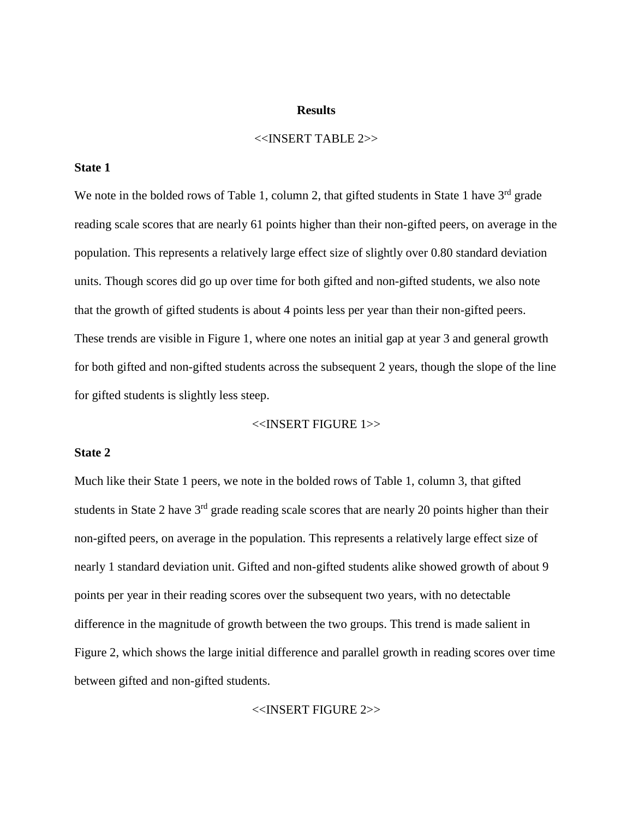## **Results**

## $<<$ INSERT TABLE 2>>

### **State 1**

We note in the bolded rows of Table 1, column 2, that gifted students in State 1 have  $3<sup>rd</sup>$  grade reading scale scores that are nearly 61 points higher than their non-gifted peers, on average in the population. This represents a relatively large effect size of slightly over 0.80 standard deviation units. Though scores did go up over time for both gifted and non-gifted students, we also note that the growth of gifted students is about 4 points less per year than their non-gifted peers. These trends are visible in Figure 1, where one notes an initial gap at year 3 and general growth for both gifted and non-gifted students across the subsequent 2 years, though the slope of the line for gifted students is slightly less steep.

## <<INSERT FIGURE 1>>

### **State 2**

Much like their State 1 peers, we note in the bolded rows of Table 1, column 3, that gifted students in State 2 have 3<sup>rd</sup> grade reading scale scores that are nearly 20 points higher than their non-gifted peers, on average in the population. This represents a relatively large effect size of nearly 1 standard deviation unit. Gifted and non-gifted students alike showed growth of about 9 points per year in their reading scores over the subsequent two years, with no detectable difference in the magnitude of growth between the two groups. This trend is made salient in Figure 2, which shows the large initial difference and parallel growth in reading scores over time between gifted and non-gifted students.

<<INSERT FIGURE 2>>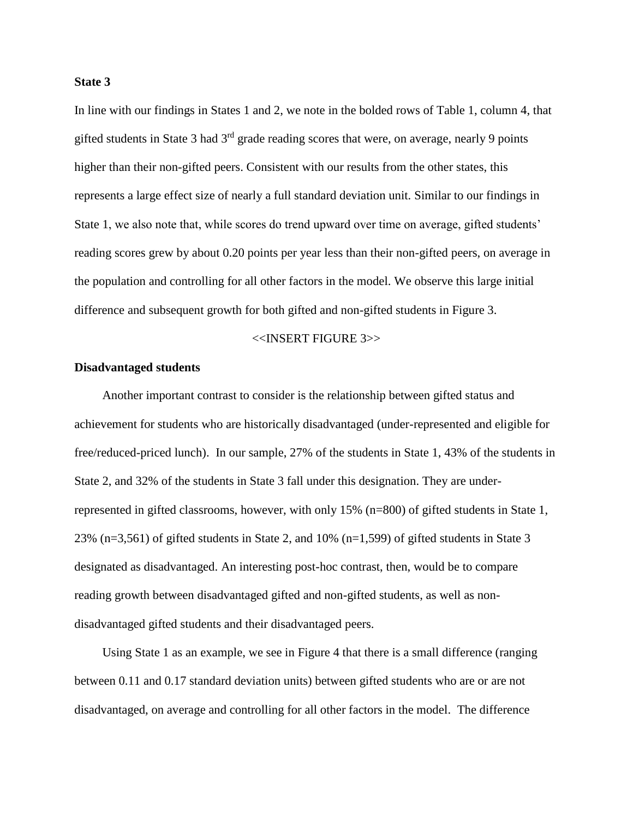### **State 3**

In line with our findings in States 1 and 2, we note in the bolded rows of Table 1, column 4, that gifted students in State 3 had  $3<sup>rd</sup>$  grade reading scores that were, on average, nearly 9 points higher than their non-gifted peers. Consistent with our results from the other states, this represents a large effect size of nearly a full standard deviation unit. Similar to our findings in State 1, we also note that, while scores do trend upward over time on average, gifted students' reading scores grew by about 0.20 points per year less than their non-gifted peers, on average in the population and controlling for all other factors in the model. We observe this large initial difference and subsequent growth for both gifted and non-gifted students in Figure 3.

### <<INSERT FIGURE 3>>

### **Disadvantaged students**

Another important contrast to consider is the relationship between gifted status and achievement for students who are historically disadvantaged (under-represented and eligible for free/reduced-priced lunch). In our sample, 27% of the students in State 1, 43% of the students in State 2, and 32% of the students in State 3 fall under this designation. They are underrepresented in gifted classrooms, however, with only 15% (n=800) of gifted students in State 1, 23% (n=3,561) of gifted students in State 2, and 10% (n=1,599) of gifted students in State 3 designated as disadvantaged. An interesting post-hoc contrast, then, would be to compare reading growth between disadvantaged gifted and non-gifted students, as well as nondisadvantaged gifted students and their disadvantaged peers.

Using State 1 as an example, we see in Figure 4 that there is a small difference (ranging between 0.11 and 0.17 standard deviation units) between gifted students who are or are not disadvantaged, on average and controlling for all other factors in the model. The difference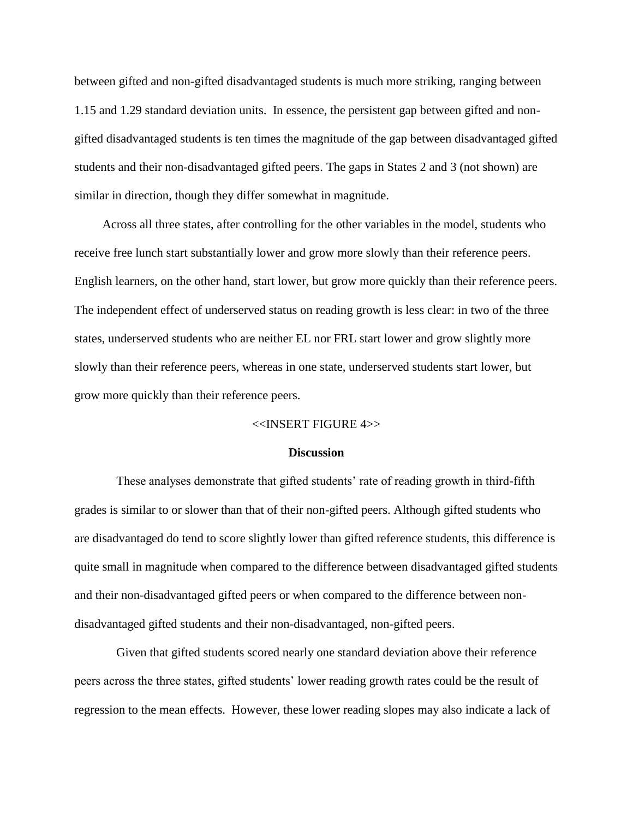between gifted and non-gifted disadvantaged students is much more striking, ranging between 1.15 and 1.29 standard deviation units. In essence, the persistent gap between gifted and nongifted disadvantaged students is ten times the magnitude of the gap between disadvantaged gifted students and their non-disadvantaged gifted peers. The gaps in States 2 and 3 (not shown) are similar in direction, though they differ somewhat in magnitude.

Across all three states, after controlling for the other variables in the model, students who receive free lunch start substantially lower and grow more slowly than their reference peers. English learners, on the other hand, start lower, but grow more quickly than their reference peers. The independent effect of underserved status on reading growth is less clear: in two of the three states, underserved students who are neither EL nor FRL start lower and grow slightly more slowly than their reference peers, whereas in one state, underserved students start lower, but grow more quickly than their reference peers.

### <<INSERT FIGURE 4>>

#### **Discussion**

These analyses demonstrate that gifted students' rate of reading growth in third-fifth grades is similar to or slower than that of their non-gifted peers. Although gifted students who are disadvantaged do tend to score slightly lower than gifted reference students, this difference is quite small in magnitude when compared to the difference between disadvantaged gifted students and their non-disadvantaged gifted peers or when compared to the difference between nondisadvantaged gifted students and their non-disadvantaged, non-gifted peers.

Given that gifted students scored nearly one standard deviation above their reference peers across the three states, gifted students' lower reading growth rates could be the result of regression to the mean effects. However, these lower reading slopes may also indicate a lack of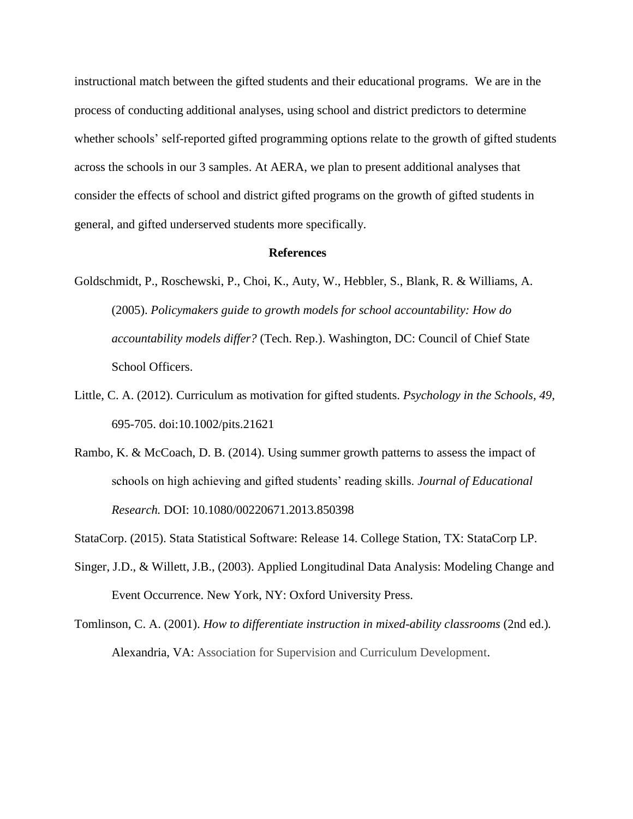instructional match between the gifted students and their educational programs. We are in the process of conducting additional analyses, using school and district predictors to determine whether schools' self-reported gifted programming options relate to the growth of gifted students across the schools in our 3 samples. At AERA, we plan to present additional analyses that consider the effects of school and district gifted programs on the growth of gifted students in general, and gifted underserved students more specifically.

#### **References**

- Goldschmidt, P., Roschewski, P., Choi, K., Auty, W., Hebbler, S., Blank, R. & Williams, A. (2005). *Policymakers guide to growth models for school accountability: How do accountability models differ?* (Tech. Rep.). Washington, DC: Council of Chief State School Officers.
- Little, C. A. (2012). Curriculum as motivation for gifted students. *Psychology in the Schools, 49*, 695-705. doi:10.1002/pits.21621
- Rambo, K. & McCoach, D. B. (2014). Using summer growth patterns to assess the impact of schools on high achieving and gifted students' reading skills. *Journal of Educational Research.* DOI: 10.1080/00220671.2013.850398

StataCorp. (2015). Stata Statistical Software: Release 14. College Station, TX: StataCorp LP.

- Singer, J.D., & Willett, J.B., (2003). Applied Longitudinal Data Analysis: Modeling Change and Event Occurrence. New York, NY: Oxford University Press.
- Tomlinson, C. A. (2001). *How to differentiate instruction in mixed-ability classrooms* (2nd ed.)*.*  Alexandria, VA: Association for Supervision and Curriculum Development.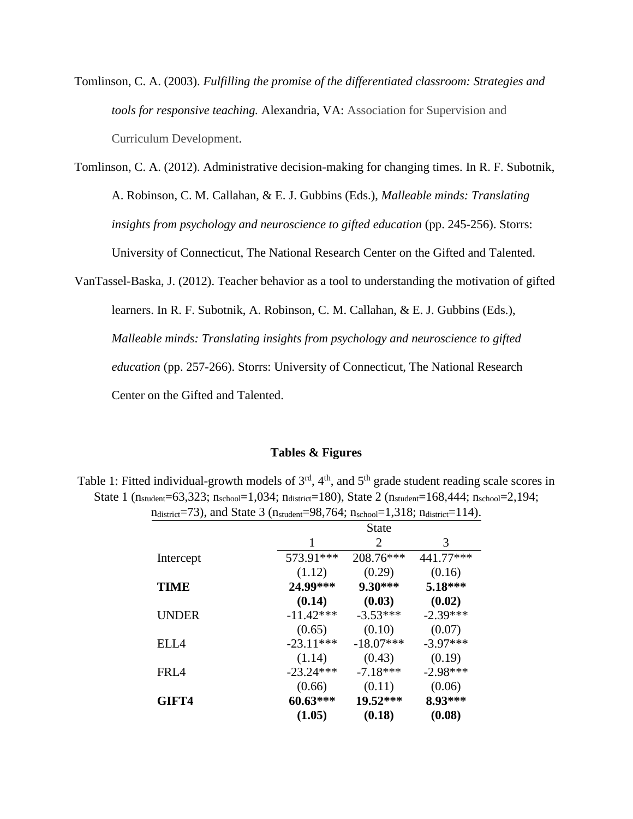Tomlinson, C. A. (2003). *Fulfilling the promise of the differentiated classroom: Strategies and tools for responsive teaching.* Alexandria, VA: Association for Supervision and Curriculum Development.

Tomlinson, C. A. (2012). Administrative decision-making for changing times. In R. F. Subotnik, A. Robinson, C. M. Callahan, & E. J. Gubbins (Eds.), *Malleable minds: Translating insights from psychology and neuroscience to gifted education* (pp. 245-256). Storrs: University of Connecticut, The National Research Center on the Gifted and Talented.

VanTassel-Baska, J. (2012). Teacher behavior as a tool to understanding the motivation of gifted learners. In R. F. Subotnik, A. Robinson, C. M. Callahan, & E. J. Gubbins (Eds.), *Malleable minds: Translating insights from psychology and neuroscience to gifted education* (pp. 257-266). Storrs: University of Connecticut, The National Research Center on the Gifted and Talented.

#### **Tables & Figures**

Table 1: Fitted individual-growth models of  $3<sup>rd</sup>$ ,  $4<sup>th</sup>$ , and  $5<sup>th</sup>$  grade student reading scale scores in State 1 (n<sub>student</sub>=63,323; n<sub>school</sub>=1,034; n<sub>district</sub>=180), State 2 (n<sub>student</sub>=168,444; n<sub>school</sub>=2,194;  $n_{\text{distinct}}$ =73), and State 3 ( $n_{\text{student}}$ =98,764;  $n_{\text{school}}$ =1,318;  $n_{\text{distinct}}$ =114).

|              |             | <b>State</b> |            |
|--------------|-------------|--------------|------------|
|              | 1           | 2            | 3          |
| Intercept    | 573.91***   | 208.76***    | 441.77***  |
|              | (1.12)      | (0.29)       | (0.16)     |
| <b>TIME</b>  | 24.99***    | $9.30***$    | 5.18***    |
|              | (0.14)      | (0.03)       | (0.02)     |
| <b>UNDER</b> | $-11.42***$ | $-3.53***$   | $-2.39***$ |
|              | (0.65)      | (0.10)       | (0.07)     |
| EIA          | $-23.11***$ | $-18.07***$  | $-3.97***$ |
|              | (1.14)      | (0.43)       | (0.19)     |
| FRI 4        | $-23.24***$ | $-7.18***$   | $-2.98***$ |
|              | (0.66)      | (0.11)       | (0.06)     |
| GIFT4        | $60.63***$  | $19.52***$   | 8.93***    |
|              | (1.05)      | (0.18)       | (0.08)     |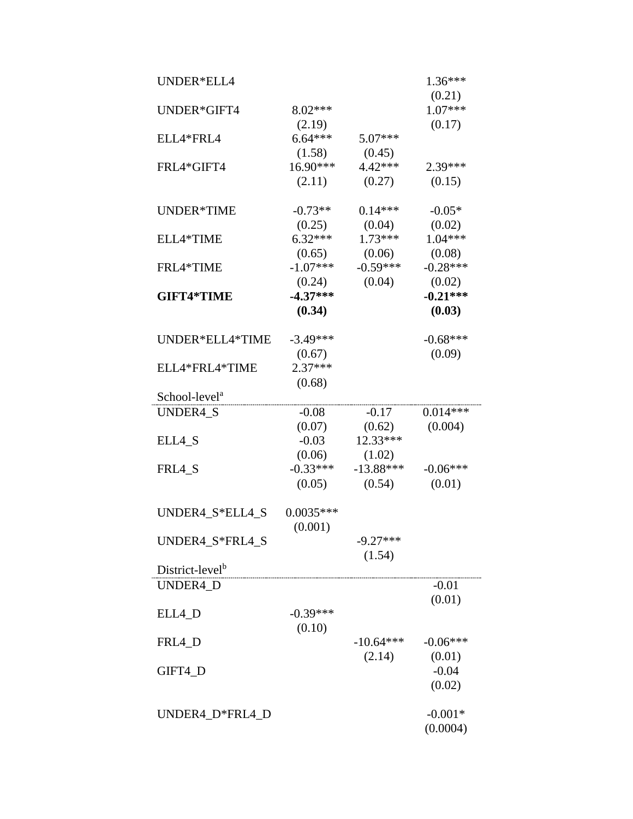| UNDER*ELL4                  |                                |                               | $1.36***$             |  |
|-----------------------------|--------------------------------|-------------------------------|-----------------------|--|
| UNDER*GIFT4                 | 8.02***                        |                               | (0.21)<br>$1.07***$   |  |
| ELL4*FRL4                   | (2.19)<br>$6.64***$            | $5.07***$                     | (0.17)                |  |
| FRL4*GIFT4                  | (1.58)<br>$16.90***$<br>(2.11) | (0.45)<br>$4.42***$<br>(0.27) | 2.39***<br>(0.15)     |  |
| UNDER*TIME                  | $-0.73**$<br>(0.25)            | $0.14***$<br>(0.04)           | $-0.05*$<br>(0.02)    |  |
| ELL4*TIME                   | $6.32***$<br>(0.65)            | $1.73***$<br>(0.06)           | $1.04***$<br>(0.08)   |  |
| FRL4*TIME                   | $-1.07***$<br>(0.24)           | $-0.59***$<br>(0.04)          | $-0.28***$<br>(0.02)  |  |
| <b>GIFT4*TIME</b>           | $-4.37***$<br>(0.34)           |                               | $-0.21***$<br>(0.03)  |  |
| UNDER*ELL4*TIME             | $-3.49***$                     |                               | $-0.68***$            |  |
| ELL4*FRL4*TIME              | (0.67)<br>$2.37***$            |                               | (0.09)                |  |
| School-level <sup>a</sup>   | (0.68)                         |                               |                       |  |
| UNDER4_S                    | $-0.08$                        | $-0.17$                       | $0.014***$            |  |
|                             | (0.07)                         | (0.62)                        | (0.004)               |  |
| ELL4_S                      | $-0.03$                        | $12.33***$                    |                       |  |
|                             | (0.06)                         | (1.02)                        |                       |  |
| FRL4_S                      | $-0.33***$<br>(0.05)           | $-13.88***$<br>(0.54)         | $-0.06***$<br>(0.01)  |  |
| UNDER4_S*ELL4_S             | $0.0035***$<br>(0.001)         |                               |                       |  |
| UNDER4_S*FRL4_S             |                                | $-9.27***$<br>(1.54)          |                       |  |
| District-level <sup>b</sup> |                                |                               |                       |  |
| UNDER4_D                    |                                |                               | $-0.01$<br>(0.01)     |  |
| ELL4_D                      | $-0.39***$<br>(0.10)           |                               |                       |  |
| FRL4_D                      |                                | $-10.64***$                   | $-0.06***$            |  |
|                             |                                | (2.14)                        | (0.01)                |  |
| GIFT4_D                     |                                |                               | $-0.04$<br>(0.02)     |  |
| UNDER4_D*FRL4_D             |                                |                               | $-0.001*$<br>(0.0004) |  |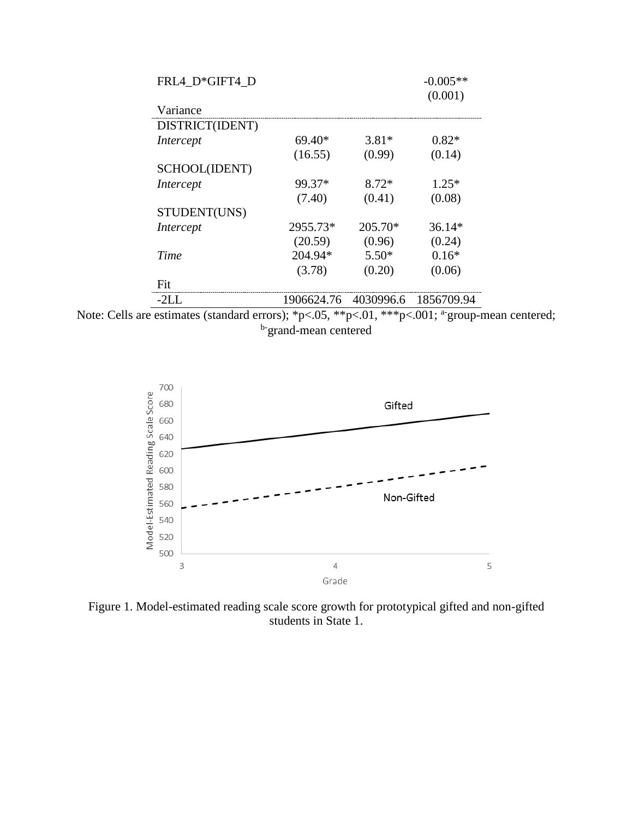| FRL4 D*GIFT4 D    |            |           | $-0.005**$<br>(0.001) |
|-------------------|------------|-----------|-----------------------|
| Variance          |            |           |                       |
| DISTRICT(IDENT)   |            |           |                       |
| Intercept         | $69.40*$   | $3.81*$   | $0.82*$               |
|                   | (16.55)    | (0.99)    | (0.14)                |
| SCHOOL(IDENT)     |            |           |                       |
| Intercept         | 99.37*     | $8.72*$   | $1.25*$               |
|                   | (7.40)     | (0.41)    | (0.08)                |
| STUDENT(UNS)      |            |           |                       |
| Intercept         | 2955.73*   | 205.70*   | $36.14*$              |
|                   | (20.59)    | (0.96)    | (0.24)                |
| Time              | 204.94*    | $5.50*$   | $0.16*$               |
|                   | (3.78)     | (0.20)    | (0.06)                |
| Fit               |            |           |                       |
| $-21\,\mathrm{L}$ | 1906624.76 | 4030996.6 | 1856709.94            |





Figure 1. Model-estimated reading scale score growth for prototypical gifted and non-gifted students in State 1.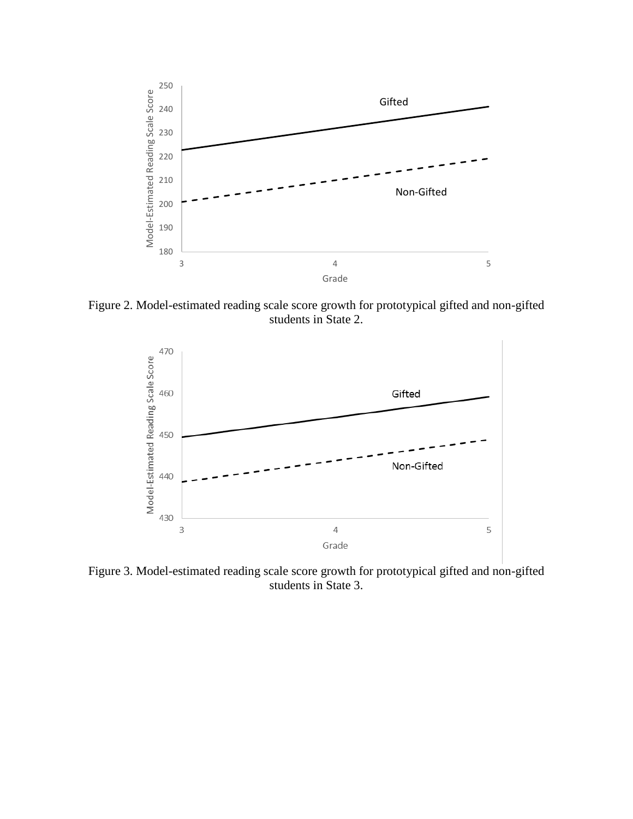

Figure 2. Model-estimated reading scale score growth for prototypical gifted and non-gifted students in State 2.



Figure 3. Model-estimated reading scale score growth for prototypical gifted and non-gifted students in State 3.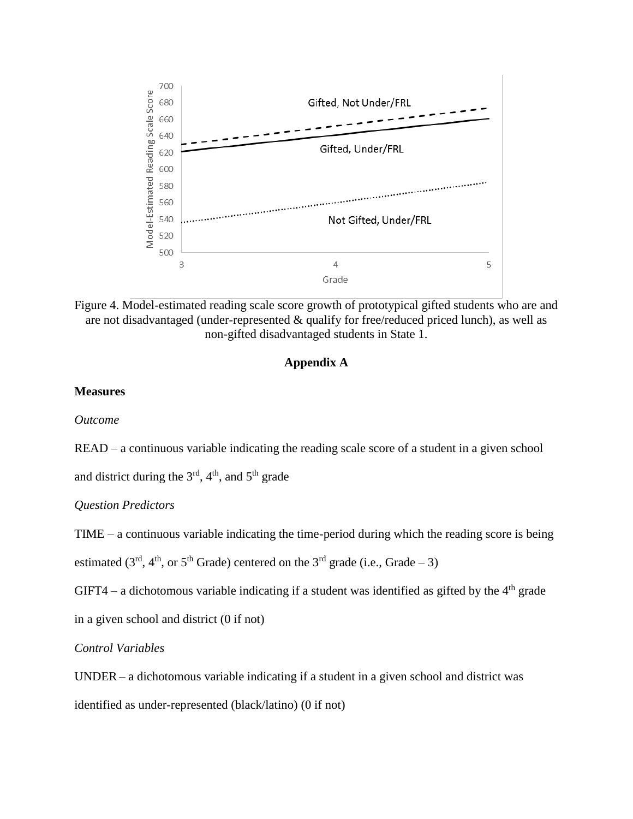

Figure 4. Model-estimated reading scale score growth of prototypical gifted students who are and are not disadvantaged (under-represented  $\&$  qualify for free/reduced priced lunch), as well as non-gifted disadvantaged students in State 1.

## **Appendix A**

### **Measures**

*Outcome* 

READ – a continuous variable indicating the reading scale score of a student in a given school

and district during the  $3<sup>rd</sup>$ ,  $4<sup>th</sup>$ , and  $5<sup>th</sup>$  grade

*Question Predictors* 

TIME – a continuous variable indicating the time-period during which the reading score is being

estimated ( $3<sup>rd</sup>$ ,  $4<sup>th</sup>$ , or  $5<sup>th</sup>$  Grade) centered on the  $3<sup>rd</sup>$  grade (i.e., Grade – 3)

GIFT4 – a dichotomous variable indicating if a student was identified as gifted by the  $4<sup>th</sup>$  grade

in a given school and district (0 if not)

*Control Variables* 

UNDER – a dichotomous variable indicating if a student in a given school and district was

identified as under-represented (black/latino) (0 if not)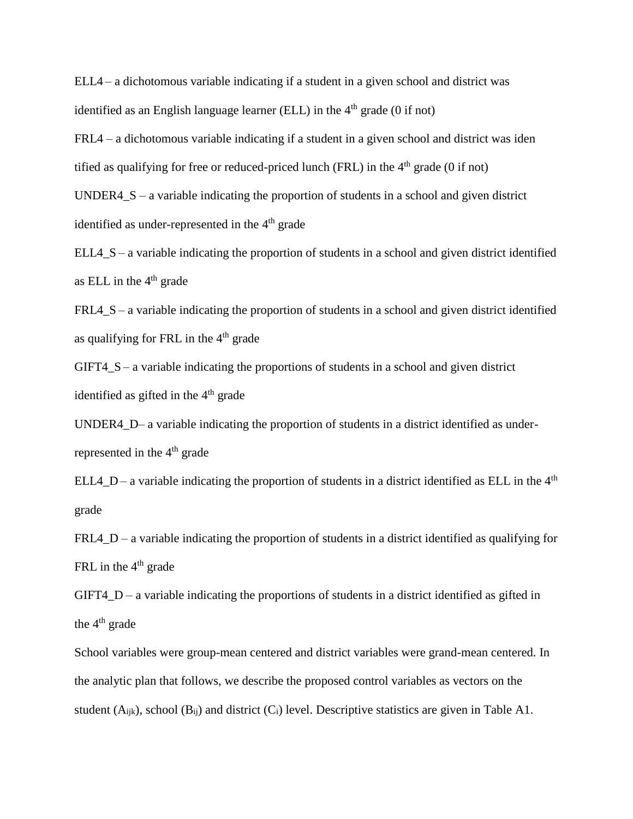ELL4 – a dichotomous variable indicating if a student in a given school and district was identified as an English language learner (ELL) in the  $4<sup>th</sup>$  grade (0 if not)

FRL4 – a dichotomous variable indicating if a student in a given school and district was iden tified as qualifying for free or reduced-priced lunch (FRL) in the  $4<sup>th</sup>$  grade (0 if not)

UNDER4 $S - a$  variable indicating the proportion of students in a school and given district identified as under-represented in the 4<sup>th</sup> grade

ELL4  $S$  – a variable indicating the proportion of students in a school and given district identified as ELL in the  $4<sup>th</sup>$  grade

FRL4  $S$  – a variable indicating the proportion of students in a school and given district identified as qualifying for FRL in the  $4<sup>th</sup>$  grade

GIFT4\_S – a variable indicating the proportions of students in a school and given district identified as gifted in the  $4<sup>th</sup>$  grade

UNDER4\_D– a variable indicating the proportion of students in a district identified as underrepresented in the 4<sup>th</sup> grade

ELL4\_D – a variable indicating the proportion of students in a district identified as ELL in the  $4<sup>th</sup>$ grade

FRL4  $D - a$  variable indicating the proportion of students in a district identified as qualifying for FRL in the  $4<sup>th</sup>$  grade

GIFT4\_D – a variable indicating the proportions of students in a district identified as gifted in the  $4<sup>th</sup>$  grade

School variables were group-mean centered and district variables were grand-mean centered. In the analytic plan that follows, we describe the proposed control variables as vectors on the student  $(A_{ijk})$ , school  $(B_{ij})$  and district  $(C_i)$  level. Descriptive statistics are given in Table A1.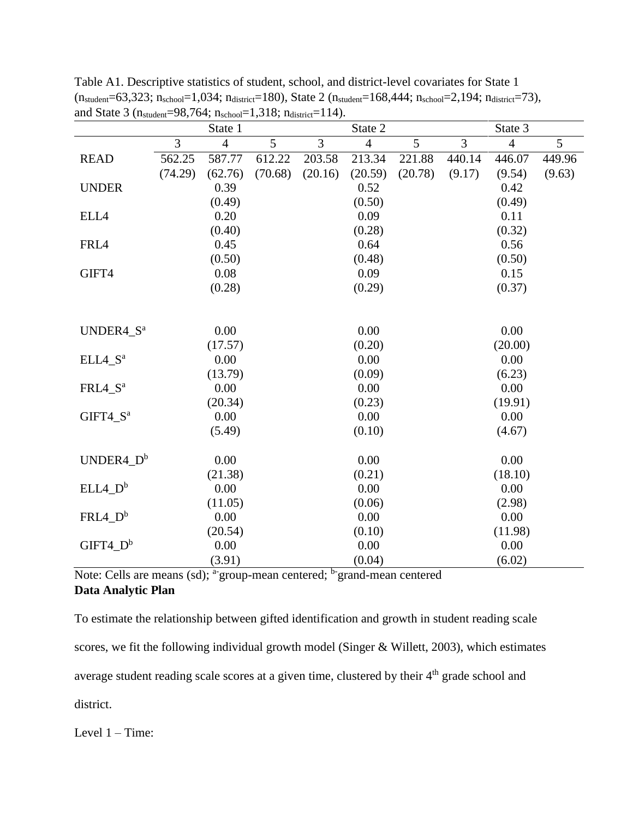|                       |                | State 1         |         |                | State 2        |         |                | State 3         |        |
|-----------------------|----------------|-----------------|---------|----------------|----------------|---------|----------------|-----------------|--------|
|                       | $\overline{3}$ | $\overline{4}$  | 5       | $\overline{3}$ | $\overline{4}$ | 5       | $\overline{3}$ | $\overline{4}$  | 5      |
| <b>READ</b>           | 562.25         | 587.77          | 612.22  | 203.58         | 213.34         | 221.88  | 440.14         | 446.07          | 449.96 |
|                       | (74.29)        | (62.76)         | (70.68) | (20.16)        | (20.59)        | (20.78) | (9.17)         | (9.54)          | (9.63) |
| <b>UNDER</b>          |                | 0.39            |         |                | 0.52           |         |                | 0.42            |        |
|                       |                | (0.49)          |         |                | (0.50)         |         |                | (0.49)          |        |
| ELL4                  |                | 0.20            |         |                | 0.09           |         |                | 0.11            |        |
|                       |                | (0.40)          |         |                | (0.28)         |         |                | (0.32)          |        |
| FRL4                  |                | 0.45            |         |                | 0.64           |         |                | 0.56            |        |
|                       |                | (0.50)          |         |                | (0.48)         |         |                | (0.50)          |        |
| GIFT4                 |                | 0.08            |         |                | 0.09           |         |                | 0.15            |        |
|                       |                | (0.28)          |         |                | (0.29)         |         |                | (0.37)          |        |
|                       |                |                 |         |                |                |         |                |                 |        |
|                       |                |                 |         |                |                |         |                |                 |        |
| UNDER4_S <sup>a</sup> |                | 0.00            |         |                | 0.00           |         |                | 0.00            |        |
|                       |                | (17.57)         |         |                | (0.20)         |         |                | (20.00)         |        |
| $ELL4_S^a$            |                | 0.00            |         |                | 0.00           |         |                | 0.00            |        |
|                       |                | (13.79)         |         |                | (0.09)         |         |                | (6.23)          |        |
| FRL4 S <sup>a</sup>   |                | 0.00            |         |                | 0.00           |         |                | 0.00            |        |
|                       |                | (20.34)         |         |                | (0.23)         |         |                | (19.91)         |        |
| GIFT4 S <sup>a</sup>  |                | 0.00            |         |                | 0.00           |         |                | 0.00            |        |
|                       |                | (5.49)          |         |                | (0.10)         |         |                | (4.67)          |        |
| $UNDER4_D^b$          |                |                 |         |                |                |         |                | 0.00            |        |
|                       |                | 0.00            |         |                | 0.00           |         |                |                 |        |
|                       |                | (21.38)<br>0.00 |         |                | (0.21)<br>0.00 |         |                | (18.10)<br>0.00 |        |
| $ELL4_D^b$            |                |                 |         |                |                |         |                |                 |        |
| $FRL4_D^b$            |                | (11.05)<br>0.00 |         |                | (0.06)<br>0.00 |         |                | (2.98)<br>0.00  |        |
|                       |                |                 |         |                | (0.10)         |         |                |                 |        |
| $GIFT4$ $D^b$         |                | (20.54)         |         |                | 0.00           |         |                | (11.98)<br>0.00 |        |
|                       |                | 0.00            |         |                |                |         |                |                 |        |
|                       |                | (3.91)          |         |                | (0.04)         |         |                | (6.02)          |        |

Table A1. Descriptive statistics of student, school, and district-level covariates for State 1  $(n_{student}=63,323; n_{school}=1,034; n_{distinct}=180)$ , State 2  $(n_{student}=168,444; n_{school}=2,194; n_{distinct}=73)$ , and State 3 ( $n_{student}=98,764$ ;  $n_{school}=1,318$ ;  $n_{distinct}=114$ ).

Note: Cells are means (sd); <sup>a-</sup>group-mean centered; <sup>b-</sup>grand-mean centered **Data Analytic Plan** 

To estimate the relationship between gifted identification and growth in student reading scale scores, we fit the following individual growth model (Singer & Willett, 2003), which estimates average student reading scale scores at a given time, clustered by their 4<sup>th</sup> grade school and district.

Level 1 – Time: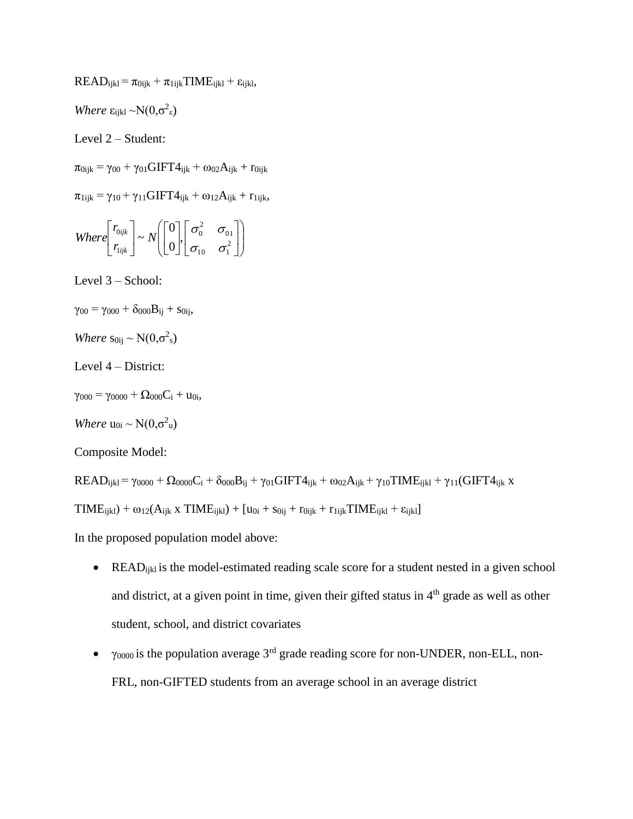$READ_{ijkl} = \pi_{0ijk} + \pi_{1ijk} TIME_{ijkl} + \varepsilon_{ijkl}$ 

*Where*  $\varepsilon_{ijkl} \sim N(0, \sigma^2_{\varepsilon})$ 

Level 2 – Student:

 $\pi_{0ijk} = \gamma_{00} + \gamma_{01} GIFT4_{ijk} + \omega_{02}A_{ijk} + r_{0ijk}$ 

 $\pi_{1ijk} = \gamma_{10} + \gamma_{11} GIFT4_{ijk} + \omega_{12}A_{ijk} + r_{1ijk}$ 

Where 
$$
\begin{bmatrix} r_{0ijk} \\ r_{ijk} \end{bmatrix} \sim N \begin{bmatrix} 0 \\ 0 \end{bmatrix} \begin{bmatrix} \sigma_0^2 & \sigma_{01} \\ \sigma_{10} & \sigma_1^2 \end{bmatrix}
$$

Level 3 – School:

- $\gamma_{00} = \gamma_{000} + \delta_{000}B_{ij} + S_{0ij}$
- *Where*  $s_{0ij} \sim N(0, \sigma^2_s)$
- Level 4 District:
- $\gamma_{000} = \gamma_{0000} + \Omega_{000}C_i + u_{0i}$
- *Where*  $u_{0i} \sim N(0, \sigma^2 u)$

Composite Model:

 $READ_{ijkl} = \gamma_{0000} + \Omega_{0000}C_i + \delta_{000}B_{ij} + \gamma_{01}GIFT4_{ijk} + \omega_{02}A_{ijk} + \gamma_{10}TIME_{ijkl} + \gamma_{11}(GIFT4_{ijk} + \omega_{02}A_{ijk})$ 

 $TIME<sub>ijkl</sub> + ω<sub>12</sub>(A<sub>ijk</sub> x TIME<sub>ijkl</sub>) + [u<sub>0i</sub> + s<sub>0ij</sub> + r<sub>0ijk</sub> + r<sub>1ijk</sub> TIME<sub>ijkl</sub> + \varepsilon<sub>ijkl</sub>]$ 

In the proposed population model above:

- READ<sub>ikl</sub> is the model-estimated reading scale score for a student nested in a given school and district, at a given point in time, given their gifted status in 4<sup>th</sup> grade as well as other student, school, and district covariates
- $\bullet$   $\gamma_{0000}$  is the population average 3<sup>rd</sup> grade reading score for non-UNDER, non-ELL, non-FRL, non-GIFTED students from an average school in an average district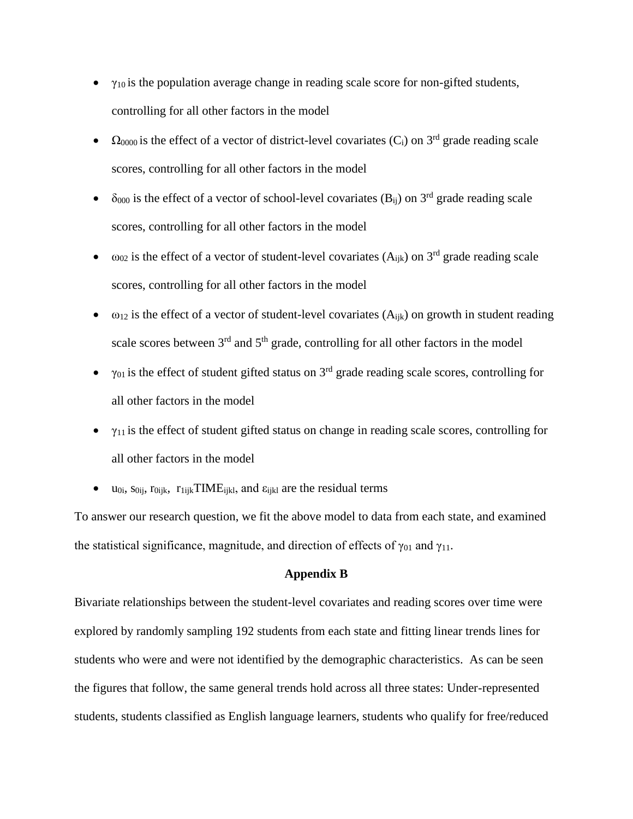- $\bullet$   $\gamma_{10}$  is the population average change in reading scale score for non-gifted students, controlling for all other factors in the model
- $\Omega_{0000}$  is the effect of a vector of district-level covariates (C<sub>i</sub>) on 3<sup>rd</sup> grade reading scale scores, controlling for all other factors in the model
- $\bullet$   $\delta_{000}$  is the effect of a vector of school-level covariates (B<sub>ii</sub>) on 3<sup>rd</sup> grade reading scale scores, controlling for all other factors in the model
- $\bullet$   $\omega_{02}$  is the effect of a vector of student-level covariates (A<sub>ijk</sub>) on 3<sup>rd</sup> grade reading scale scores, controlling for all other factors in the model
- $\bullet$   $\omega_{12}$  is the effect of a vector of student-level covariates (A<sub>ijk</sub>) on growth in student reading scale scores between  $3<sup>rd</sup>$  and  $5<sup>th</sup>$  grade, controlling for all other factors in the model
- $\bullet$   $\gamma_{01}$  is the effect of student gifted status on 3<sup>rd</sup> grade reading scale scores, controlling for all other factors in the model
- $\gamma_{11}$  is the effect of student gifted status on change in reading scale scores, controlling for all other factors in the model
- $\bullet$  u<sub>0i</sub>, s<sub>0ii</sub>, r<sub>0iik</sub>, r<sub>1ijk</sub>TIME<sub>ijkl</sub>, and  $\varepsilon$ <sub>ijkl</sub> are the residual terms

To answer our research question, we fit the above model to data from each state, and examined the statistical significance, magnitude, and direction of effects of  $\gamma_{01}$  and  $\gamma_{11}$ .

## **Appendix B**

Bivariate relationships between the student-level covariates and reading scores over time were explored by randomly sampling 192 students from each state and fitting linear trends lines for students who were and were not identified by the demographic characteristics. As can be seen the figures that follow, the same general trends hold across all three states: Under-represented students, students classified as English language learners, students who qualify for free/reduced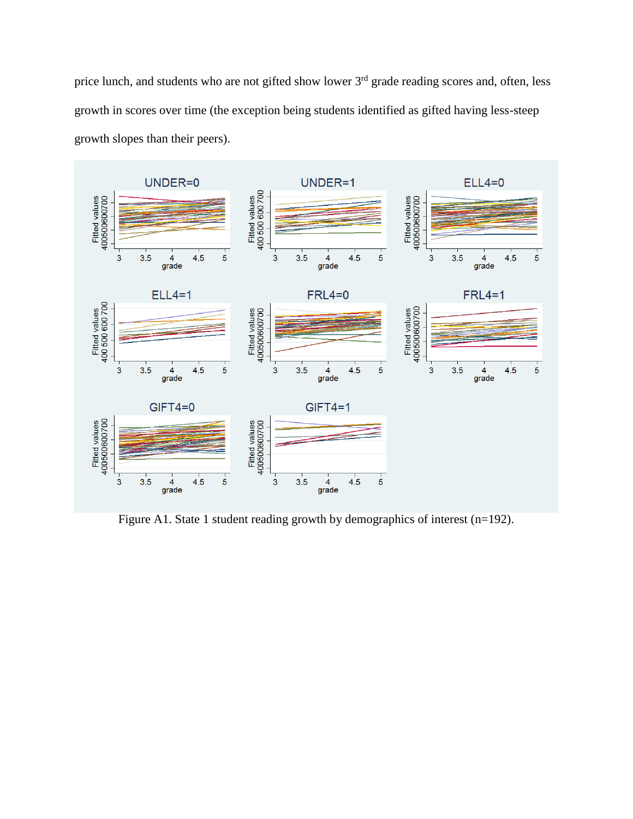price lunch, and students who are not gifted show lower 3<sup>rd</sup> grade reading scores and, often, less growth in scores over time (the exception being students identified as gifted having less-steep growth slopes than their peers).



Figure A1. State 1 student reading growth by demographics of interest (n=192).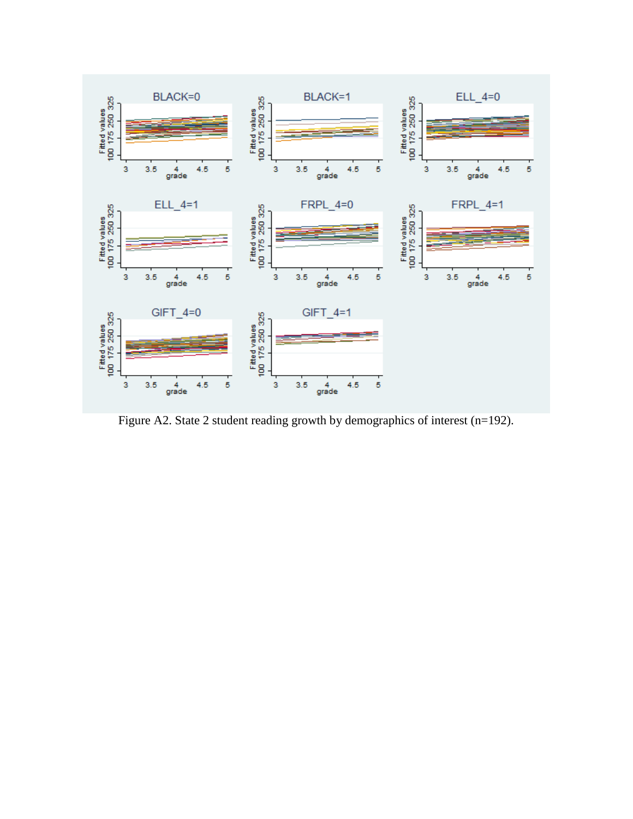

Figure A2. State 2 student reading growth by demographics of interest (n=192).